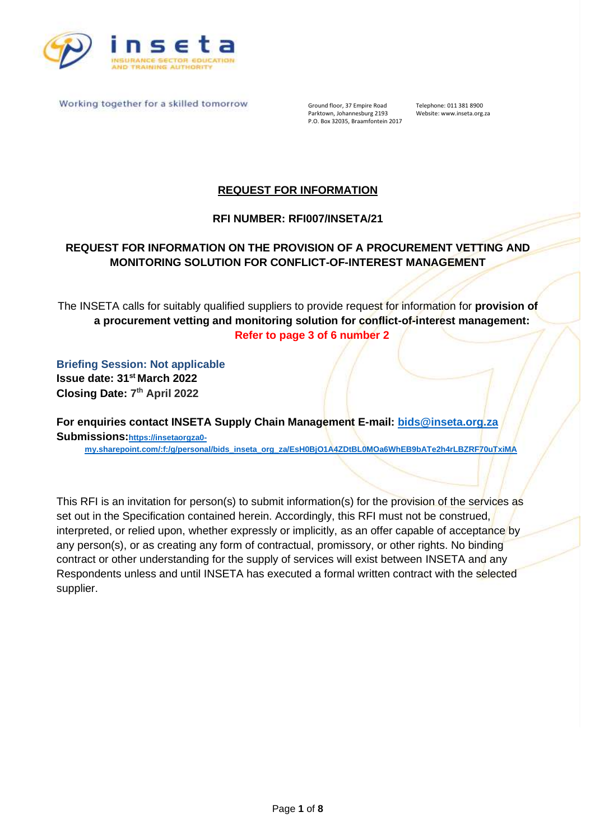

Ground floor, 37 Empire Road Telephone: 011 381 8900<br>Parktown, Johannesburg 2193 Website: www.inseta.org.za Parktown, Johannesburg 2193 P.O. Box 32035, Braamfontein 2017

## **REQUEST FOR INFORMATION**

### **RFI NUMBER: RFI007/INSETA/21**

## **REQUEST FOR INFORMATION ON THE PROVISION OF A PROCUREMENT VETTING AND MONITORING SOLUTION FOR CONFLICT-OF-INTEREST MANAGEMENT**

The INSETA calls for suitably qualified suppliers to provide request for information for **provision of a procurement vetting and monitoring solution for conflict-of-interest management: Refer to page 3 of 6 number 2**

**Briefing Session: Not applicable Issue date: 31 st March 2022 Closing Date: 7 th April 2022**

**For enquiries contact INSETA Supply Chain Management E-mail: [bids@inseta.org.za](mailto:bids@inseta.org.za) Submissions:[https://insetaorgza0](https://insetaorgza0-my.sharepoint.com/:f:/g/personal/bids_inseta_org_za/EsH0BjO1A4ZDtBL0MOa6WhEB9bATe2h4rLBZRF70uTxiMA) [my.sharepoint.com/:f:/g/personal/bids\\_inseta\\_org\\_za/EsH0BjO1A4ZDtBL0MOa6WhEB9bATe2h4rLBZRF70uTxiMA](https://insetaorgza0-my.sharepoint.com/:f:/g/personal/bids_inseta_org_za/EsH0BjO1A4ZDtBL0MOa6WhEB9bATe2h4rLBZRF70uTxiMA)**

This RFI is an invitation for person(s) to submit information(s) for the provision of the services as set out in the Specification contained herein. Accordingly, this RFI must not be construed, interpreted, or relied upon, whether expressly or implicitly, as an offer capable of acceptance by any person(s), or as creating any form of contractual, promissory, or other rights. No binding contract or other understanding for the supply of services will exist between INSETA and any Respondents unless and until INSETA has executed a formal written contract with the selected supplier.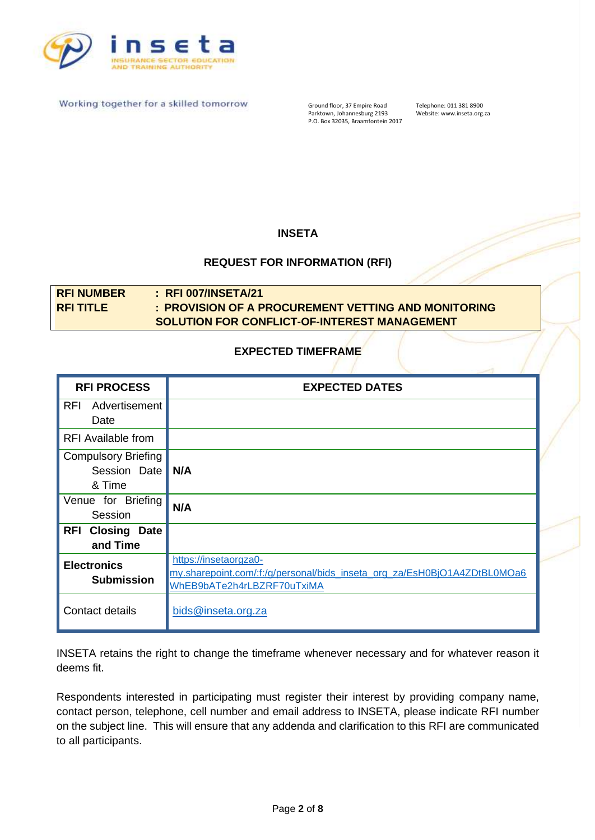

Ground floor, 37 Empire Road Telephone: 011 381 8900<br>Parktown, Johannesburg 2193 Website: www.inseta.org.za Parktown, Johannesburg 2193 Website: www.inseta.org.za P.O. Box 32035, Braamfontein 2017

### **INSETA**

#### **REQUEST FOR INFORMATION (RFI)**

# **RFI NUMBER : RFI 007/INSETA/21 RFI TITLE : PROVISION OF A PROCUREMENT VETTING AND MONITORING SOLUTION FOR CONFLICT-OF-INTEREST MANAGEMENT**

#### **EXPECTED TIMEFRAME**

| <b>RFI PROCESS</b>                | <b>EXPECTED DATES</b>                                                    |
|-----------------------------------|--------------------------------------------------------------------------|
| <b>RFI</b><br>Advertisement       |                                                                          |
| Date                              |                                                                          |
| <b>RFI</b> Available from         |                                                                          |
| <b>Compulsory Briefing</b>        |                                                                          |
| Session Date                      | N/A                                                                      |
| & Time                            |                                                                          |
| Venue for Briefing                | N/A                                                                      |
| Session                           |                                                                          |
| <b>Closing Date</b><br><b>RFI</b> |                                                                          |
| and Time                          |                                                                          |
| <b>Electronics</b>                | https://insetaorgza0-                                                    |
| <b>Submission</b>                 | my.sharepoint.com/:f:/g/personal/bids_inseta_org_za/EsH0BjO1A4ZDtBL0MOa6 |
|                                   | WhEB9bATe2h4rLBZRF70uTxiMA                                               |
| Contact details                   | bids@inseta.org.za                                                       |
|                                   |                                                                          |

INSETA retains the right to change the timeframe whenever necessary and for whatever reason it deems fit.

Respondents interested in participating must register their interest by providing company name, contact person, telephone, cell number and email address to INSETA, please indicate RFI number on the subject line. This will ensure that any addenda and clarification to this RFI are communicated to all participants.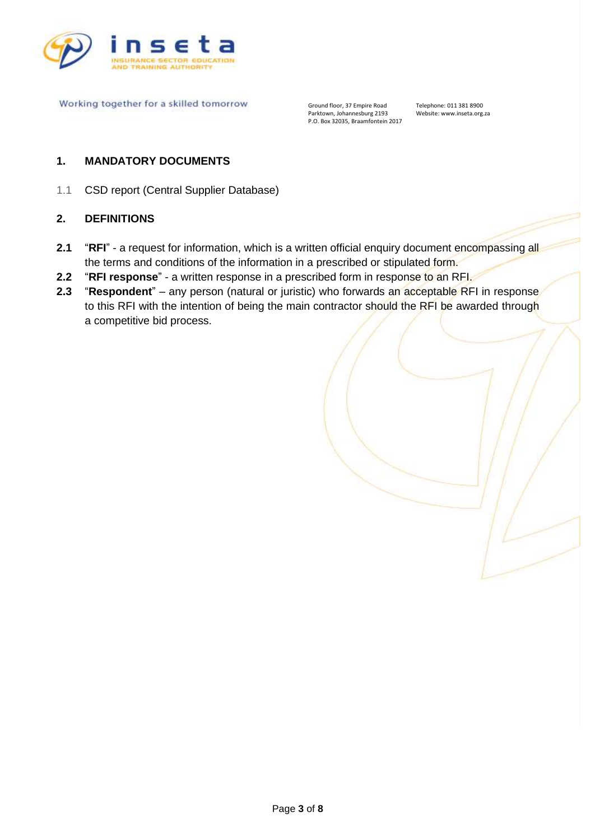

Ground floor, 37 Empire Road Telephone: 011 381 8900<br>Parktown, Johannesburg 2193 Website: www.inseta.org.za Parktown, Johannesburg 2193 Website: www.inseta.org.za P.O. Box 32035, Braamfontein 2017

#### **1. MANDATORY DOCUMENTS**

1.1 CSD report (Central Supplier Database)

#### **2. DEFINITIONS**

- **2.1** "RFI" a request for information, which is a written official enquiry document encompassing all the terms and conditions of the information in a prescribed or stipulated form.
- **2.2** "**RFI response**" a written response in a prescribed form in response to an RFI.
- **2.3** "Respondent" any person (natural or juristic) who forwards an acceptable RFI in response to this RFI with the intention of being the main contractor should the RFI be awarded through a competitive bid process.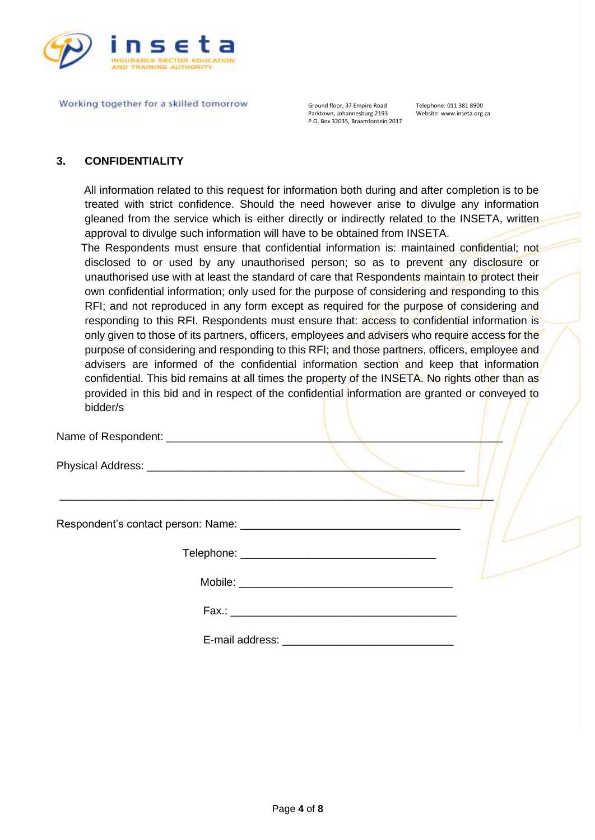

Ground floor, 37 Empire Road Telephone: 011 381 8900<br>Parktown, Johannesburg 2193 Website: www.inseta.org.za Parktown, Johannesburg 2193 P.O. Box 32035, Braamfontein 2017

#### **3. CONFIDENTIALITY**

 All information related to this request for information both during and after completion is to be treated with strict confidence. Should the need however arise to divulge any information gleaned from the service which is either directly or indirectly related to the INSETA, written approval to divulge such information will have to be obtained from INSETA.

 The Respondents must ensure that confidential information is: maintained confidential; not disclosed to or used by any unauthorised person; so as to prevent any disclosure or unauthorised use with at least the standard of care that Respondents maintain to protect their own confidential information; only used for the purpose of considering and responding to this RFI; and not reproduced in any form except as required for the purpose of considering and responding to this RFI. Respondents must ensure that: access to confidential information is only given to those of its partners, officers, employees and advisers who require access for the purpose of considering and responding to this RFI; and those partners, officers, employee and advisers are informed of the confidential information section and keep that information confidential. This bid remains at all times the property of the INSETA. No rights other than as provided in this bid and in respect of the confidential information are granted or conveyed to bidder/s

 $\mathcal{L}_\mathcal{L}$  , and the contract of the contract of the contract of the contract of the contract of the contract of the contract of the contract of the contract of the contract of the contract of the contract of the cont

| Name of Respondent: |  |  |  |
|---------------------|--|--|--|
|                     |  |  |  |

Physical Address:

Respondent's contact person: Name: \_\_\_\_\_\_\_\_\_\_\_\_\_\_\_\_\_\_\_\_\_\_\_\_\_\_\_\_\_\_\_\_\_\_\_\_

Mobile:  $\blacksquare$ 

 $Fax.:$ 

E-mail address: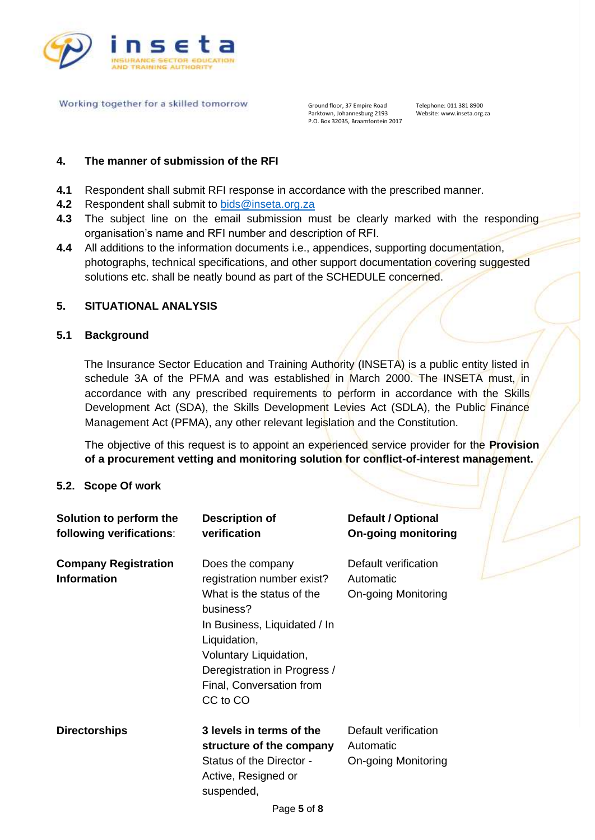

Ground floor, 37 Empire Road Telephone: 011 381 8900<br>Parktown, Johannesburg 2193 Website: www.inseta.org.za Parktown, Johannesburg 2193 P.O. Box 32035, Braamfontein 2017

#### **4. The manner of submission of the RFI**

- **4.1** Respondent shall submit RFI response in accordance with the prescribed manner.
- **4.2** Respondent shall submit to [bids@inseta.org.za](mailto:bids@inseta.org.za)
- **4.3** The subject line on the email submission must be clearly marked with the responding organisation's name and RFI number and description of RFI.
- **4.4** All additions to the information documents i.e., appendices, supporting documentation, photographs, technical specifications, and other support documentation covering suggested solutions etc. shall be neatly bound as part of the SCHEDULE concerned.

#### **5. SITUATIONAL ANALYSIS**

#### **5.1 Background**

 The Insurance Sector Education and Training Authority (INSETA) is a public entity listed in schedule 3A of the PFMA and was established in March 2000. The INSETA must, in accordance with any prescribed requirements to perform in accordance with the Skills Development Act (SDA), the Skills Development Levies Act (SDLA), the Public Finance Management Act (PFMA), any other relevant legislation and the Constitution.

The objective of this request is to appoint an experienced service provider for the **Provision of a procurement vetting and monitoring solution for conflict-of-interest management.**

#### **5.2. Scope Of work**

| Solution to perform the<br>following verifications: | <b>Description of</b><br>verification                                                                                                                                                                                                      | <b>Default / Optional</b><br><b>On-going monitoring</b>  |  |
|-----------------------------------------------------|--------------------------------------------------------------------------------------------------------------------------------------------------------------------------------------------------------------------------------------------|----------------------------------------------------------|--|
| <b>Company Registration</b><br><b>Information</b>   | Does the company<br>registration number exist?<br>What is the status of the<br>business?<br>In Business, Liquidated / In<br>Liquidation,<br>Voluntary Liquidation,<br>Deregistration in Progress /<br>Final, Conversation from<br>CC to CO | Default verification<br>Automatic<br>On-going Monitoring |  |
| <b>Directorships</b>                                | 3 levels in terms of the<br>structure of the company<br>Status of the Director -<br>Active, Resigned or<br>suspended,                                                                                                                      | Default verification<br>Automatic<br>On-going Monitoring |  |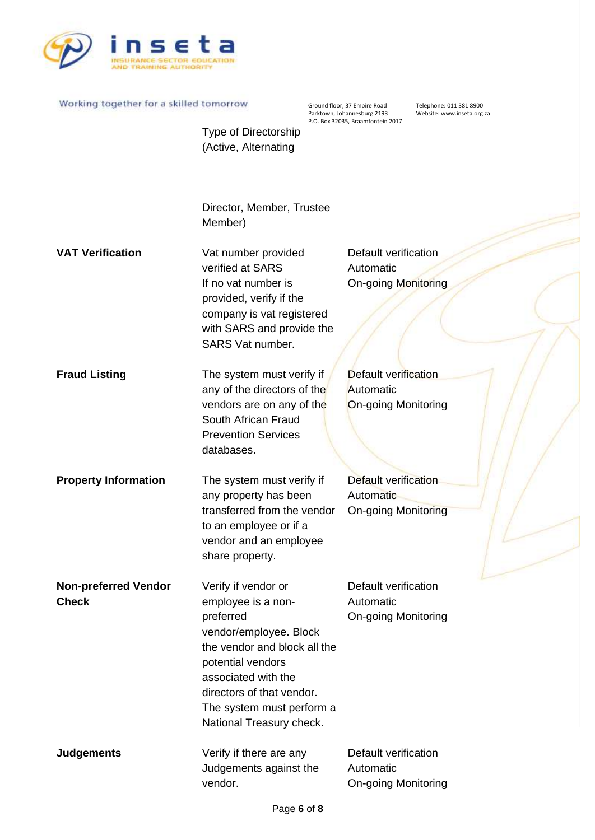

Ground floor, 37 Empire Road Telephone: 011 381 8900<br>Parktown, Johannesburg 2193 Website: www.inseta.org.za Parktown, Johannesburg 2193 Website: www.inseta.org.za P.O. Box 32035, Braamfontein 2017

Type of Directorship (Active, Alternating

Director, Member, Trustee Member)

**VAT Verification** Vat number provided verified at SARS If no vat number is provided, verify if the company is vat registered with SARS and provide the SARS Vat number. Default verification Automatic On-going Monitoring

**Fraud Listing** The system must verify if any of the directors of the vendors are on any of the South African Fraud Prevention Services databases. Default verification **Automatic** On-going Monitoring

**Property Information** The system must verify if any property has been transferred from the vendor to an employee or if a vendor and an employee share property. Default verification Automatic On-going Monitoring

**Non-preferred Vendor Check**  Verify if vendor or employee is a nonpreferred vendor/employee. Block the vendor and block all the potential vendors associated with the directors of that vendor. The system must perform a National Treasury check. Default verification Automatic On-going Monitoring

**Judgements Verify if there are any** Judgements against the vendor. Default verification Automatic On-going Monitoring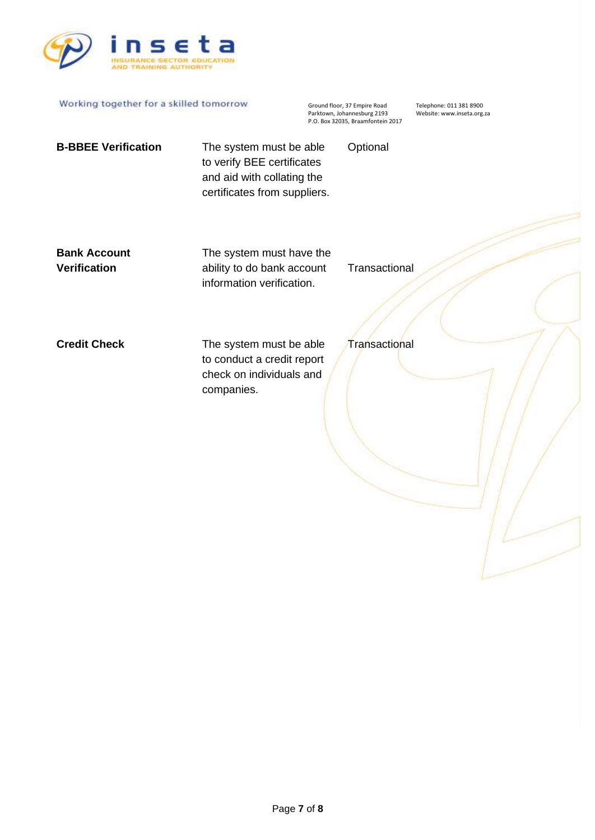

| Working together for a skilled tomorrow    |                                                                                                                     | Ground floor, 37 Empire Road<br>Parktown, Johannesburg 2193<br>P.O. Box 32035, Braamfontein 2017 |               | Telephone: 011 381 8900<br>Website: www.inseta.org.za |
|--------------------------------------------|---------------------------------------------------------------------------------------------------------------------|--------------------------------------------------------------------------------------------------|---------------|-------------------------------------------------------|
| <b>B-BBEE Verification</b>                 | The system must be able<br>to verify BEE certificates<br>and aid with collating the<br>certificates from suppliers. |                                                                                                  | Optional      |                                                       |
| <b>Bank Account</b><br><b>Verification</b> | The system must have the<br>ability to do bank account<br>information verification.                                 |                                                                                                  | Transactional |                                                       |
| <b>Credit Check</b>                        | The system must be able<br>to conduct a credit report<br>check on individuals and<br>companies.                     |                                                                                                  | Transactional |                                                       |